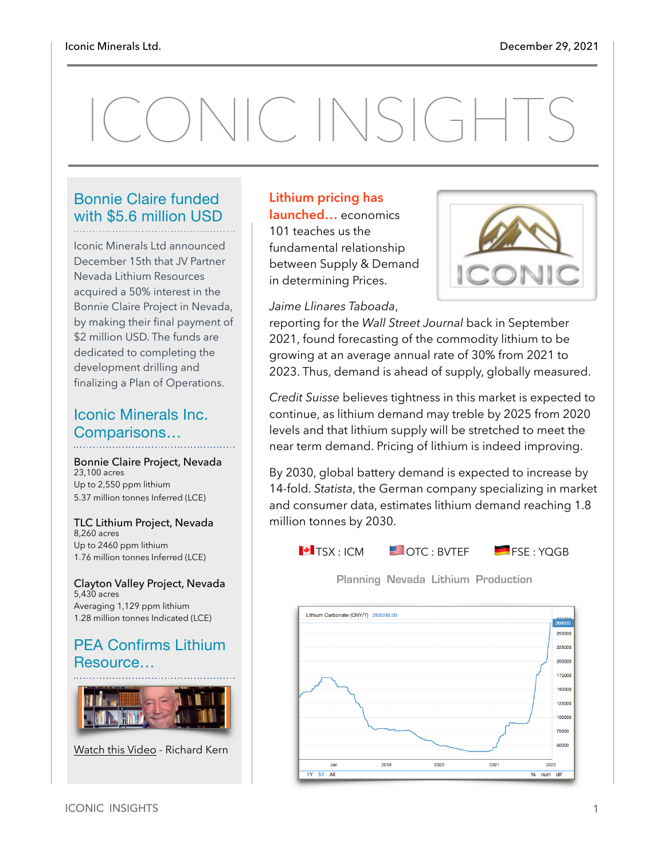# ONIC INSIGHTS

#### Bonnie Claire funded with \$5.6 million USD

Iconic Minerals Ltd announced December 15th that JV Partner Nevada Lithium Resources acquired a 50% interest in the Bonnie Claire Project in Nevada, by making their final payment of \$2 million USD. The funds are dedicated to completing the development drilling and finalizing a Plan of Operations.

#### Iconic Minerals Inc. Comparisons…

Bonnie Claire Project, Nevada 23,100 acres Up to 2,550 ppm lithium 5.37 million tonnes Inferred (LCE)

TLC Lithium Project, Nevada 8,260 acres Up to 2460 ppm lithium 1.76 million tonnes Inferred (LCE)

Clayton Valley Project, Nevada 5,430 acres Averaging 1,129 ppm lithium 1.28 million tonnes Indicated (LCE)

#### PEA Confirms Lithium Resource…



[Watch this Video](https://www.youtube.com/watch?v=vsXsFvm4QMY) - Richard Kern

#### **Lithium pricing has launched…** economics 101 teaches us the fundamental relationship between Supply & Demand in determining Prices.





reporting for the *Wall Street Journal* back in September 2021, found forecasting of the commodity lithium to be growing at an average annual rate of 30% from 2021 to 2023. Thus, demand is ahead of supply, globally measured.

*Credit Suisse* believes tightness in this market is expected to continue, as lithium demand may treble by 2025 from 2020 levels and that lithium supply will be stretched to meet the near term demand. Pricing of lithium is indeed improving.

By 2030, global battery demand is expected to increase by 14-fold. *Statista*, the German company specializing in market and consumer data, estimates lithium demand reaching 1.8 million tonnes by 2030.



**Planning Nevada Lithium Production**